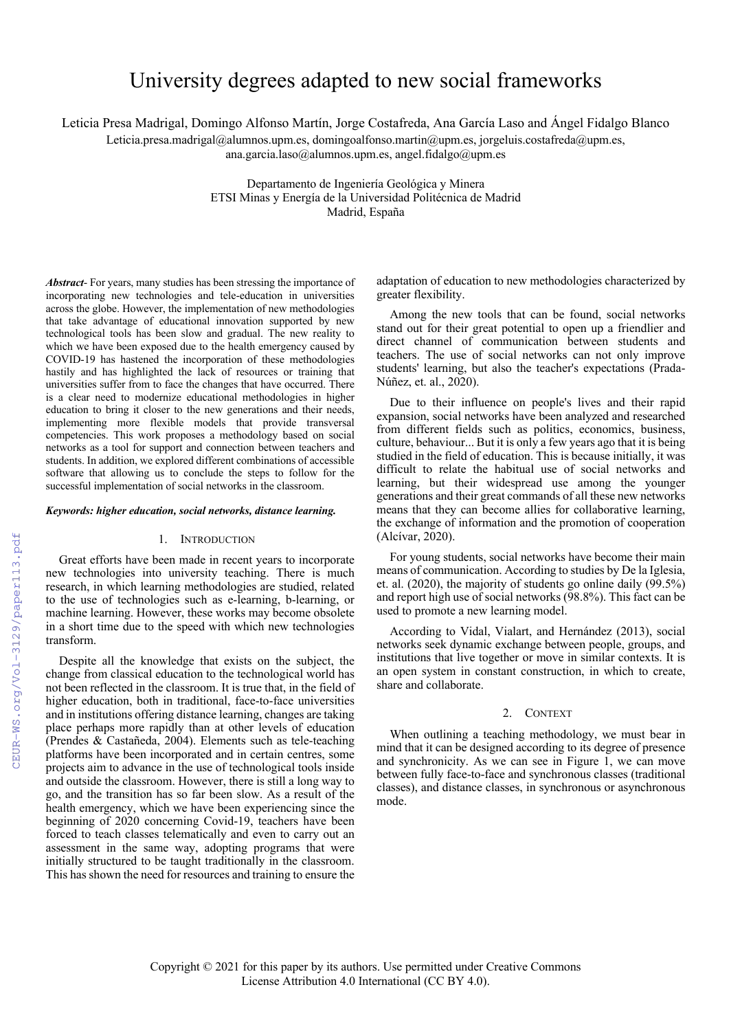# University degrees adapted to new social frameworks

Leticia Presa Madrigal, Domingo Alfonso Martín, Jorge Costafreda, Ana García Laso and Ángel Fidalgo Blanco

Leticia.presa.madrigal@alumnos.upm.es, domingoalfonso.martin@upm.es, jorgeluis.costafreda@upm.es,

ana.garcia.laso@alumnos.upm.es, angel.fidalgo@upm.es

Departamento de Ingeniería Geológica y Minera ETSI Minas y Energía de la Universidad Politécnica de Madrid Madrid, España

*Abstract*- For years, many studies has been stressing the importance of incorporating new technologies and tele-education in universities across the globe. However, the implementation of new methodologies that take advantage of educational innovation supported by new technological tools has been slow and gradual. The new reality to which we have been exposed due to the health emergency caused by COVID-19 has hastened the incorporation of these methodologies hastily and has highlighted the lack of resources or training that universities suffer from to face the changes that have occurred. There is a clear need to modernize educational methodologies in higher education to bring it closer to the new generations and their needs, implementing more flexible models that provide transversal competencies. This work proposes a methodology based on social networks as a tool for support and connection between teachers and students. In addition, we explored different combinations of accessible software that allowing us to conclude the steps to follow for the successful implementation of social networks in the classroom.

## *Keywords: higher education, social networks, distance learning.*

## 1. INTRODUCTION

Great efforts have been made in recent years to incorporate new technologies into university teaching. There is much research, in which learning methodologies are studied, related to the use of technologies such as e-learning, b-learning, or machine learning. However, these works may become obsolete in a short time due to the speed with which new technologies transform.

Despite all the knowledge that exists on the subject, the change from classical education to the technological world has not been reflected in the classroom. It is true that, in the field of higher education, both in traditional, face-to-face universities and in institutions offering distance learning, changes are taking place perhaps more rapidly than at other levels of education (Prendes & Castañeda, 2004). Elements such as tele-teaching platforms have been incorporated and in certain centres, some projects aim to advance in the use of technological tools inside and outside the classroom. However, there is still a long way to go, and the transition has so far been slow. As a result of the health emergency, which we have been experiencing since the beginning of 2020 concerning Covid-19, teachers have been forced to teach classes telematically and even to carry out an assessment in the same way, adopting programs that were initially structured to be taught traditionally in the classroom. This has shown the need for resources and training to ensure the

adaptation of education to new methodologies characterized by greater flexibility.

Among the new tools that can be found, social networks stand out for their great potential to open up a friendlier and direct channel of communication between students and teachers. The use of social networks can not only improve students' learning, but also the teacher's expectations (Prada-Núñez, et. al., 2020).

Due to their influence on people's lives and their rapid expansion, social networks have been analyzed and researched from different fields such as politics, economics, business, culture, behaviour... But it is only a few years ago that it is being studied in the field of education. This is because initially, it was difficult to relate the habitual use of social networks and learning, but their widespread use among the younger generations and their great commands of all these new networks means that they can become allies for collaborative learning, the exchange of information and the promotion of cooperation (Alcívar, 2020).

For young students, social networks have become their main means of communication. According to studies by De la Iglesia, et. al. (2020), the majority of students go online daily (99.5%) and report high use of social networks (98.8%). This fact can be used to promote a new learning model.

According to Vidal, Vialart, and Hernández (2013), social networks seek dynamic exchange between people, groups, and institutions that live together or move in similar contexts. It is an open system in constant construction, in which to create, share and collaborate.

## 2. CONTEXT

When outlining a teaching methodology, we must bear in mind that it can be designed according to its degree of presence and synchronicity. As we can see in Figure 1, we can move between fully face-to-face and synchronous classes (traditional classes), and distance classes, in synchronous or asynchronous mode.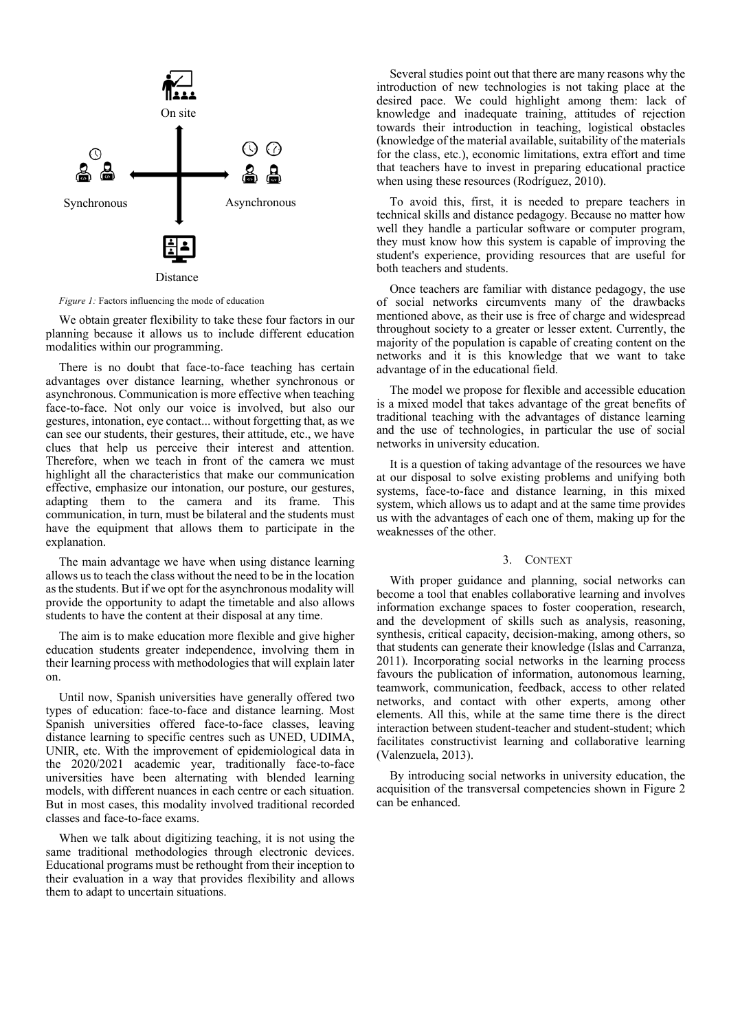

*Figure 1:* Factors influencing the mode of education

We obtain greater flexibility to take these four factors in our planning because it allows us to include different education modalities within our programming.

There is no doubt that face-to-face teaching has certain advantages over distance learning, whether synchronous or asynchronous. Communication is more effective when teaching face-to-face. Not only our voice is involved, but also our gestures, intonation, eye contact... without forgetting that, as we can see our students, their gestures, their attitude, etc., we have clues that help us perceive their interest and attention. Therefore, when we teach in front of the camera we must highlight all the characteristics that make our communication effective, emphasize our intonation, our posture, our gestures, adapting them to the camera and its frame. This communication, in turn, must be bilateral and the students must have the equipment that allows them to participate in the explanation.

The main advantage we have when using distance learning allows us to teach the class without the need to be in the location as the students. But if we opt for the asynchronous modality will provide the opportunity to adapt the timetable and also allows students to have the content at their disposal at any time.

The aim is to make education more flexible and give higher education students greater independence, involving them in their learning process with methodologies that will explain later on.

Until now, Spanish universities have generally offered two types of education: face-to-face and distance learning. Most Spanish universities offered face-to-face classes, leaving distance learning to specific centres such as UNED, UDIMA, UNIR, etc. With the improvement of epidemiological data in the 2020/2021 academic year, traditionally face-to-face universities have been alternating with blended learning models, with different nuances in each centre or each situation. But in most cases, this modality involved traditional recorded classes and face-to-face exams.

When we talk about digitizing teaching, it is not using the same traditional methodologies through electronic devices. Educational programs must be rethought from their inception to their evaluation in a way that provides flexibility and allows them to adapt to uncertain situations.

Several studies point out that there are many reasons why the introduction of new technologies is not taking place at the desired pace. We could highlight among them: lack of knowledge and inadequate training, attitudes of rejection towards their introduction in teaching, logistical obstacles (knowledge of the material available, suitability of the materials for the class, etc.), economic limitations, extra effort and time that teachers have to invest in preparing educational practice when using these resources (Rodríguez, 2010).

To avoid this, first, it is needed to prepare teachers in technical skills and distance pedagogy. Because no matter how well they handle a particular software or computer program, they must know how this system is capable of improving the student's experience, providing resources that are useful for both teachers and students.

Once teachers are familiar with distance pedagogy, the use of social networks circumvents many of the drawbacks mentioned above, as their use is free of charge and widespread throughout society to a greater or lesser extent. Currently, the majority of the population is capable of creating content on the networks and it is this knowledge that we want to take advantage of in the educational field.

The model we propose for flexible and accessible education is a mixed model that takes advantage of the great benefits of traditional teaching with the advantages of distance learning and the use of technologies, in particular the use of social networks in university education.

It is a question of taking advantage of the resources we have at our disposal to solve existing problems and unifying both systems, face-to-face and distance learning, in this mixed system, which allows us to adapt and at the same time provides us with the advantages of each one of them, making up for the weaknesses of the other.

# 3. CONTEXT

With proper guidance and planning, social networks can become a tool that enables collaborative learning and involves information exchange spaces to foster cooperation, research, and the development of skills such as analysis, reasoning, synthesis, critical capacity, decision-making, among others, so that students can generate their knowledge (Islas and Carranza, 2011). Incorporating social networks in the learning process favours the publication of information, autonomous learning, teamwork, communication, feedback, access to other related networks, and contact with other experts, among other elements. All this, while at the same time there is the direct interaction between student-teacher and student-student; which facilitates constructivist learning and collaborative learning (Valenzuela, 2013).

By introducing social networks in university education, the acquisition of the transversal competencies shown in Figure 2 can be enhanced.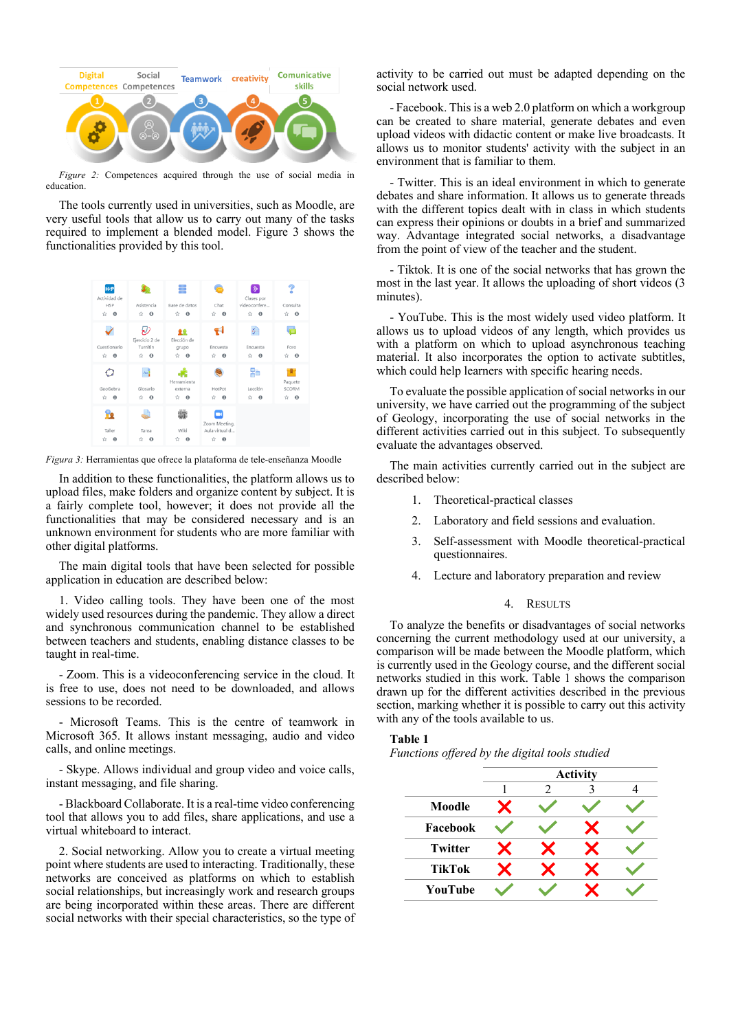

*Figure 2:* Competences acquired through the use of social media in education.

The tools currently used in universities, such as Moodle, are very useful tools that allow us to carry out many of the tasks required to implement a blended model. Figure 3 shows the functionalities provided by this tool.



*Figura 3:* Herramientas que ofrece la plataforma de tele-enseñanza Moodle

In addition to these functionalities, the platform allows us to upload files, make folders and organize content by subject. It is a fairly complete tool, however; it does not provide all the functionalities that may be considered necessary and is an unknown environment for students who are more familiar with other digital platforms.

The main digital tools that have been selected for possible application in education are described below:

1. Video calling tools. They have been one of the most widely used resources during the pandemic. They allow a direct and synchronous communication channel to be established between teachers and students, enabling distance classes to be taught in real-time.

Zoom. This is a videoconferencing service in the cloud. It is free to use, does not need to be downloaded, and allows sessions to be recorded.

- Microsoft Teams. This is the centre of teamwork in Microsoft 365. It allows instant messaging, audio and video calls, and online meetings.

- Skype. Allows individual and group video and voice calls, instant messaging, and file sharing.

- Blackboard Collaborate. It is a real-time video conferencing tool that allows you to add files, share applications, and use a virtual whiteboard to interact.

2. Social networking. Allow you to create a virtual meeting point where students are used to interacting. Traditionally, these networks are conceived as platforms on which to establish social relationships, but increasingly work and research groups are being incorporated within these areas. There are different social networks with their special characteristics, so the type of activity to be carried out must be adapted depending on the social network used.

- Facebook. This is a web 2.0 platform on which a workgroup can be created to share material, generate debates and even upload videos with didactic content or make live broadcasts. It allows us to monitor students' activity with the subject in an environment that is familiar to them.

- Twitter. This is an ideal environment in which to generate debates and share information. It allows us to generate threads with the different topics dealt with in class in which students can express their opinions or doubts in a brief and summarized way. Advantage integrated social networks, a disadvantage from the point of view of the teacher and the student.

- Tiktok. It is one of the social networks that has grown the most in the last year. It allows the uploading of short videos (3 minutes).

- YouTube. This is the most widely used video platform. It allows us to upload videos of any length, which provides us with a platform on which to upload asynchronous teaching material. It also incorporates the option to activate subtitles, which could help learners with specific hearing needs.

To evaluate the possible application of social networks in our university, we have carried out the programming of the subject of Geology, incorporating the use of social networks in the different activities carried out in this subject. To subsequently evaluate the advantages observed.

The main activities currently carried out in the subject are described below:

- 1. Theoretical-practical classes
- 2. Laboratory and field sessions and evaluation.
- 3. Self-assessment with Moodle theoretical-practical questionnaires.
- 4. Lecture and laboratory preparation and review

## 4. RESULTS

To analyze the benefits or disadvantages of social networks concerning the current methodology used at our university, a comparison will be made between the Moodle platform, which is currently used in the Geology course, and the different social networks studied in this work. Table 1 shows the comparison drawn up for the different activities described in the previous section, marking whether it is possible to carry out this activity with any of the tools available to us.

## **Table 1**

*Functions offered by the digital tools studied* 

|                | <b>Activity</b> |   |  |  |
|----------------|-----------------|---|--|--|
|                |                 | 2 |  |  |
| Moodle         |                 |   |  |  |
| Facebook       |                 |   |  |  |
| <b>Twitter</b> |                 |   |  |  |
| <b>TikTok</b>  |                 |   |  |  |
| YouTube        |                 |   |  |  |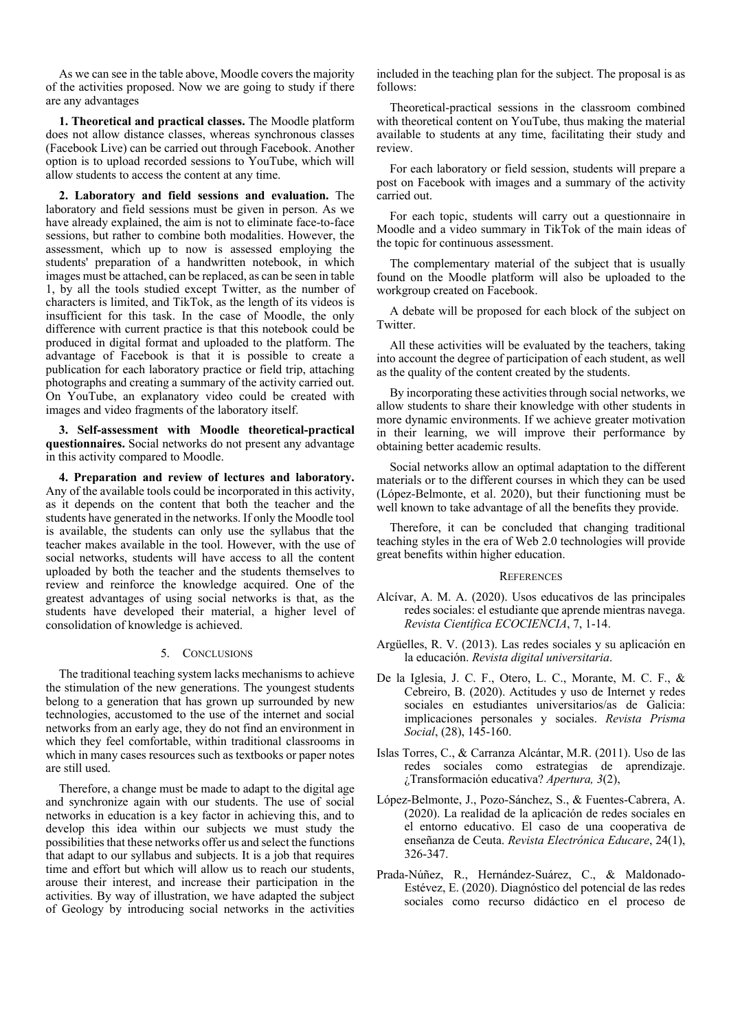As we can see in the table above, Moodle covers the majority of the activities proposed. Now we are going to study if there are any advantages

**1. Theoretical and practical classes.** The Moodle platform does not allow distance classes, whereas synchronous classes (Facebook Live) can be carried out through Facebook. Another option is to upload recorded sessions to YouTube, which will allow students to access the content at any time.

**2. Laboratory and field sessions and evaluation.** The laboratory and field sessions must be given in person. As we have already explained, the aim is not to eliminate face-to-face sessions, but rather to combine both modalities. However, the assessment, which up to now is assessed employing the students' preparation of a handwritten notebook, in which images must be attached, can be replaced, as can be seen in table 1, by all the tools studied except Twitter, as the number of characters is limited, and TikTok, as the length of its videos is insufficient for this task. In the case of Moodle, the only difference with current practice is that this notebook could be produced in digital format and uploaded to the platform. The advantage of Facebook is that it is possible to create a publication for each laboratory practice or field trip, attaching photographs and creating a summary of the activity carried out. On YouTube, an explanatory video could be created with images and video fragments of the laboratory itself.

**3. Self-assessment with Moodle theoretical-practical questionnaires.** Social networks do not present any advantage in this activity compared to Moodle.

**4. Preparation and review of lectures and laboratory.** Any of the available tools could be incorporated in this activity, as it depends on the content that both the teacher and the students have generated in the networks. If only the Moodle tool is available, the students can only use the syllabus that the teacher makes available in the tool. However, with the use of social networks, students will have access to all the content uploaded by both the teacher and the students themselves to review and reinforce the knowledge acquired. One of the greatest advantages of using social networks is that, as the students have developed their material, a higher level of consolidation of knowledge is achieved.

# 5. CONCLUSIONS

The traditional teaching system lacks mechanisms to achieve the stimulation of the new generations. The youngest students belong to a generation that has grown up surrounded by new technologies, accustomed to the use of the internet and social networks from an early age, they do not find an environment in which they feel comfortable, within traditional classrooms in which in many cases resources such as textbooks or paper notes are still used.

Therefore, a change must be made to adapt to the digital age and synchronize again with our students. The use of social networks in education is a key factor in achieving this, and to develop this idea within our subjects we must study the possibilities that these networks offer us and select the functions that adapt to our syllabus and subjects. It is a job that requires time and effort but which will allow us to reach our students, arouse their interest, and increase their participation in the activities. By way of illustration, we have adapted the subject of Geology by introducing social networks in the activities included in the teaching plan for the subject. The proposal is as follows:

Theoretical-practical sessions in the classroom combined with theoretical content on YouTube, thus making the material available to students at any time, facilitating their study and review.

For each laboratory or field session, students will prepare a post on Facebook with images and a summary of the activity carried out.

For each topic, students will carry out a questionnaire in Moodle and a video summary in TikTok of the main ideas of the topic for continuous assessment.

The complementary material of the subject that is usually found on the Moodle platform will also be uploaded to the workgroup created on Facebook.

A debate will be proposed for each block of the subject on Twitter.

All these activities will be evaluated by the teachers, taking into account the degree of participation of each student, as well as the quality of the content created by the students.

By incorporating these activities through social networks, we allow students to share their knowledge with other students in more dynamic environments. If we achieve greater motivation in their learning, we will improve their performance by obtaining better academic results.

Social networks allow an optimal adaptation to the different materials or to the different courses in which they can be used (López-Belmonte, et al. 2020), but their functioning must be well known to take advantage of all the benefits they provide.

Therefore, it can be concluded that changing traditional teaching styles in the era of Web 2.0 technologies will provide great benefits within higher education.

## **REFERENCES**

- Alcívar, A. M. A. (2020). Usos educativos de las principales redes sociales: el estudiante que aprende mientras navega. *Revista Científica ECOCIENCIA*, 7, 1-14.
- Argüelles, R. V. (2013). Las redes sociales y su aplicación en la educación. *Revista digital universitaria*.
- De la Iglesia, J. C. F., Otero, L. C., Morante, M. C. F., & Cebreiro, B. (2020). Actitudes y uso de Internet y redes sociales en estudiantes universitarios/as de Galicia: implicaciones personales y sociales. *Revista Prisma Social*, (28), 145-160.
- Islas Torres, C., & Carranza Alcántar, M.R. (2011). Uso de las redes sociales como estrategias de aprendizaje. ¿Transformación educativa? *Apertura, 3*(2),
- López-Belmonte, J., Pozo-Sánchez, S., & Fuentes-Cabrera, A. (2020). La realidad de la aplicación de redes sociales en el entorno educativo. El caso de una cooperativa de enseñanza de Ceuta. *Revista Electrónica Educare*, 24(1), 326-347.
- Prada-Núñez, R., Hernández-Suárez, C., & Maldonado-Estévez, E. (2020). Diagnóstico del potencial de las redes sociales como recurso didáctico en el proceso de